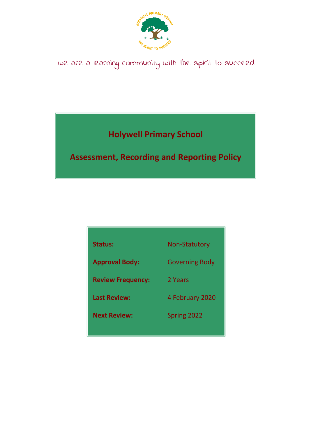

# we are a learning community with the spirit to succeed

**Holywell Primary School**

**Assessment, Recording and Reporting Policy**

| <b>Status:</b>           | <b>Non-Statutory</b>  |
|--------------------------|-----------------------|
| <b>Approval Body:</b>    | <b>Governing Body</b> |
| <b>Review Frequency:</b> | 2 Years               |
| <b>Last Review:</b>      | 4 February 2020       |
| <b>Next Review:</b>      | Spring 2022           |
|                          |                       |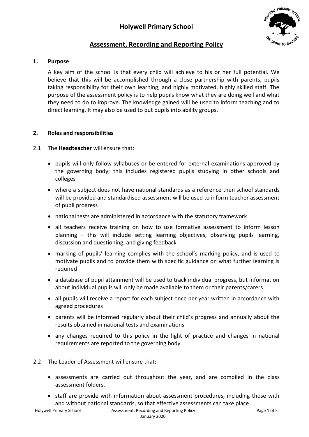

# **Assessment, Recording and Reporting Policy**

# **1. Purpose**

A key aim of the school is that every child will achieve to his or her full potential. We believe that this will be accomplished through a close partnership with parents, pupils taking responsibility for their own learning, and highly motivated, highly skilled staff. The purpose of the assessment policy is to help pupils know what they are doing well and what they need to do to improve. The knowledge gained will be used to inform teaching and to direct learning. It may also be used to put pupils into ability groups.

# **2. Roles and responsibilities**

# 2.1 The **Headteacher** will ensure that:

- pupils will only follow syllabuses or be entered for external examinations approved by the governing body; this includes registered pupils studying in other schools and colleges
- where a subject does not have national standards as a reference then school standards will be provided and standardised assessment will be used to inform teacher assessment of pupil progress
- national tests are administered in accordance with the statutory framework
- all teachers receive training on how to use formative assessment to inform lesson planning – this will include setting learning objectives, observing pupils learning, discussion and questioning, and giving feedback
- marking of pupils' learning complies with the school's marking policy, and is used to motivate pupils and to provide them with specific guidance on what further learning is required
- a database of pupil attainment will be used to track individual progress, but information about individual pupils will only be made available to them or their parents/carers
- all pupils will receive a report for each subject once per year written in accordance with agreed procedures
- parents will be informed regularly about their child's progress and annually about the results obtained in national tests and examinations
- any changes required to this policy in the light of practice and changes in national requirements are reported to the governing body.
- 2.2 The Leader of Assessment will ensure that:
	- assessments are carried out throughout the year, and are compiled in the class assessment folders.
	- staff are provide with information about assessment procedures, including those with and without national standards, so that effective assessments can take place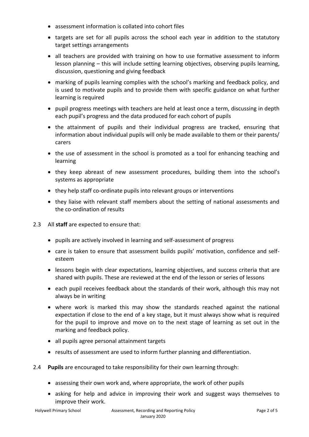- assessment information is collated into cohort files
- targets are set for all pupils across the school each year in addition to the statutory target settings arrangements
- all teachers are provided with training on how to use formative assessment to inform lesson planning – this will include setting learning objectives, observing pupils learning, discussion, questioning and giving feedback
- marking of pupils learning complies with the school's marking and feedback policy, and is used to motivate pupils and to provide them with specific guidance on what further learning is required
- pupil progress meetings with teachers are held at least once a term, discussing in depth each pupil's progress and the data produced for each cohort of pupils
- the attainment of pupils and their individual progress are tracked, ensuring that information about individual pupils will only be made available to them or their parents/ carers
- the use of assessment in the school is promoted as a tool for enhancing teaching and learning
- they keep abreast of new assessment procedures, building them into the school's systems as appropriate
- they help staff co-ordinate pupils into relevant groups or interventions
- they liaise with relevant staff members about the setting of national assessments and the co-ordination of results
- 2.3 All **staff** are expected to ensure that:
	- pupils are actively involved in learning and self-assessment of progress
	- care is taken to ensure that assessment builds pupils' motivation, confidence and selfesteem
	- lessons begin with clear expectations, learning objectives, and success criteria that are shared with pupils. These are reviewed at the end of the lesson or series of lessons
	- each pupil receives feedback about the standards of their work, although this may not always be in writing
	- where work is marked this may show the standards reached against the national expectation if close to the end of a key stage, but it must always show what is required for the pupil to improve and move on to the next stage of learning as set out in the marking and feedback policy.
	- all pupils agree personal attainment targets
	- results of assessment are used to inform further planning and differentiation.
- 2.4 **Pupils** are encouraged to take responsibility for their own learning through:
	- assessing their own work and, where appropriate, the work of other pupils
	- asking for help and advice in improving their work and suggest ways themselves to improve their work.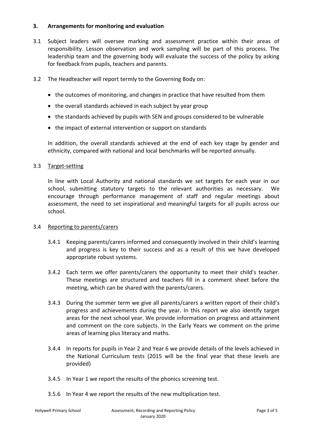# **3. Arrangements for monitoring and evaluation**

- 3.1 Subject leaders will oversee marking and assessment practice within their areas of responsibility. Lesson observation and work sampling will be part of this process. The leadership team and the governing body will evaluate the success of the policy by asking for feedback from pupils, teachers and parents.
- 3.2 The Headteacher will report termly to the Governing Body on:
	- the outcomes of monitoring, and changes in practice that have resulted from them
	- the overall standards achieved in each subject by year group
	- the standards achieved by pupils with SEN and groups considered to be vulnerable
	- the impact of external intervention or support on standards

In addition, the overall standards achieved at the end of each key stage by gender and ethnicity, compared with national and local benchmarks will be reported annually.

#### 3.3 Target-setting

In line with Local Authority and national standards we set targets for each year in our school, submitting statutory targets to the relevant authorities as necessary. We encourage through performance management of staff and regular meetings about assessment, the need to set inspirational and meaningful targets for all pupils across our school.

# 3.4 Reporting to parents/carers

- 3.4.1 Keeping parents/carers informed and consequently involved in their child's learning and progress is key to their success and as a result of this we have developed appropriate robust systems.
- 3.4.2 Each term we offer parents/carers the opportunity to meet their child's teacher. These meetings are structured and teachers fill in a comment sheet before the meeting, which can be shared with the parents/carers.
- 3.4.3 During the summer term we give all parents/carers a written report of their child's progress and achievements during the year. In this report we also identify target areas for the next school year. We provide information on progress and attainment and comment on the core subjects. In the Early Years we comment on the prime areas of learning plus literacy and maths.
- 3.4.4 In reports for pupils in Year 2 and Year 6 we provide details of the levels achieved in the National Curriculum tests (2015 will be the final year that these levels are provided)
- 3.4.5 In Year 1 we report the results of the phonics screening test.
- 3.5.6 In Year 4 we report the results of the new multiplication test.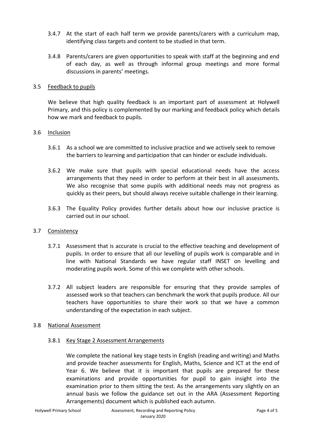- 3.4.7 At the start of each half term we provide parents/carers with a curriculum map, identifying class targets and content to be studied in that term.
- 3.4.8 Parents/carers are given opportunities to speak with staff at the beginning and end of each day, as well as through informal group meetings and more formal discussions in parents' meetings.

#### 3.5 Feedback to pupils

We believe that high quality feedback is an important part of assessment at Holywell Primary, and this policy is complemented by our marking and feedback policy which details how we mark and feedback to pupils.

#### 3.6 Inclusion

- 3.6.1 As a school we are committed to inclusive practice and we actively seek to remove the barriers to learning and participation that can hinder or exclude individuals.
- 3.6.2 We make sure that pupils with special educational needs have the access arrangements that they need in order to perform at their best in all assessments. We also recognise that some pupils with additional needs may not progress as quickly as their peers, but should always receive suitable challenge in their learning.
- 3.6.3 The Equality Policy provides further details about how our inclusive practice is carried out in our school.

# 3.7 Consistency

- 3.7.1 Assessment that is accurate is crucial to the effective teaching and development of pupils. In order to ensure that all our levelling of pupils work is comparable and in line with National Standards we have regular staff INSET on levelling and moderating pupils work. Some of this we complete with other schools.
- 3.7.2 All subject leaders are responsible for ensuring that they provide samples of assessed work so that teachers can benchmark the work that pupils produce. All our teachers have opportunities to share their work so that we have a common understanding of the expectation in each subject.

# 3.8 National Assessment

# 3.8.1 Key Stage 2 Assessment Arrangements

We complete the national key stage tests in English (reading and writing) and Maths and provide teacher assessments for English, Maths, Science and ICT at the end of Year 6. We believe that it is important that pupils are prepared for these examinations and provide opportunities for pupil to gain insight into the examination prior to them sitting the test. As the arrangements vary slightly on an annual basis we follow the guidance set out in the ARA (Assessment Reporting Arrangements) document which is published each autumn.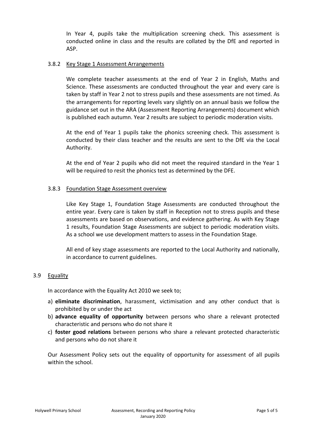In Year 4, pupils take the multiplication screening check. This assessment is conducted online in class and the results are collated by the DfE and reported in ASP.

#### 3.8.2 Key Stage 1 Assessment Arrangements

We complete teacher assessments at the end of Year 2 in English, Maths and Science. These assessments are conducted throughout the year and every care is taken by staff in Year 2 not to stress pupils and these assessments are not timed. As the arrangements for reporting levels vary slightly on an annual basis we follow the guidance set out in the ARA (Assessment Reporting Arrangements) document which is published each autumn. Year 2 results are subject to periodic moderation visits.

At the end of Year 1 pupils take the phonics screening check. This assessment is conducted by their class teacher and the results are sent to the DfE via the Local Authority.

At the end of Year 2 pupils who did not meet the required standard in the Year 1 will be required to resit the phonics test as determined by the DFE.

#### 3.8.3 Foundation Stage Assessment overview

Like Key Stage 1, Foundation Stage Assessments are conducted throughout the entire year. Every care is taken by staff in Reception not to stress pupils and these assessments are based on observations, and evidence gathering. As with Key Stage 1 results, Foundation Stage Assessments are subject to periodic moderation visits. As a school we use development matters to assess in the Foundation Stage.

All end of key stage assessments are reported to the Local Authority and nationally, in accordance to current guidelines.

# 3.9 Equality

In accordance with the Equality Act 2010 we seek to;

- a) **eliminate discrimination**, harassment, victimisation and any other conduct that is prohibited by or under the act
- b) **advance equality of opportunity** between persons who share a relevant protected characteristic and persons who do not share it
- c) **foster good relations** between persons who share a relevant protected characteristic and persons who do not share it

Our Assessment Policy sets out the equality of opportunity for assessment of all pupils within the school.